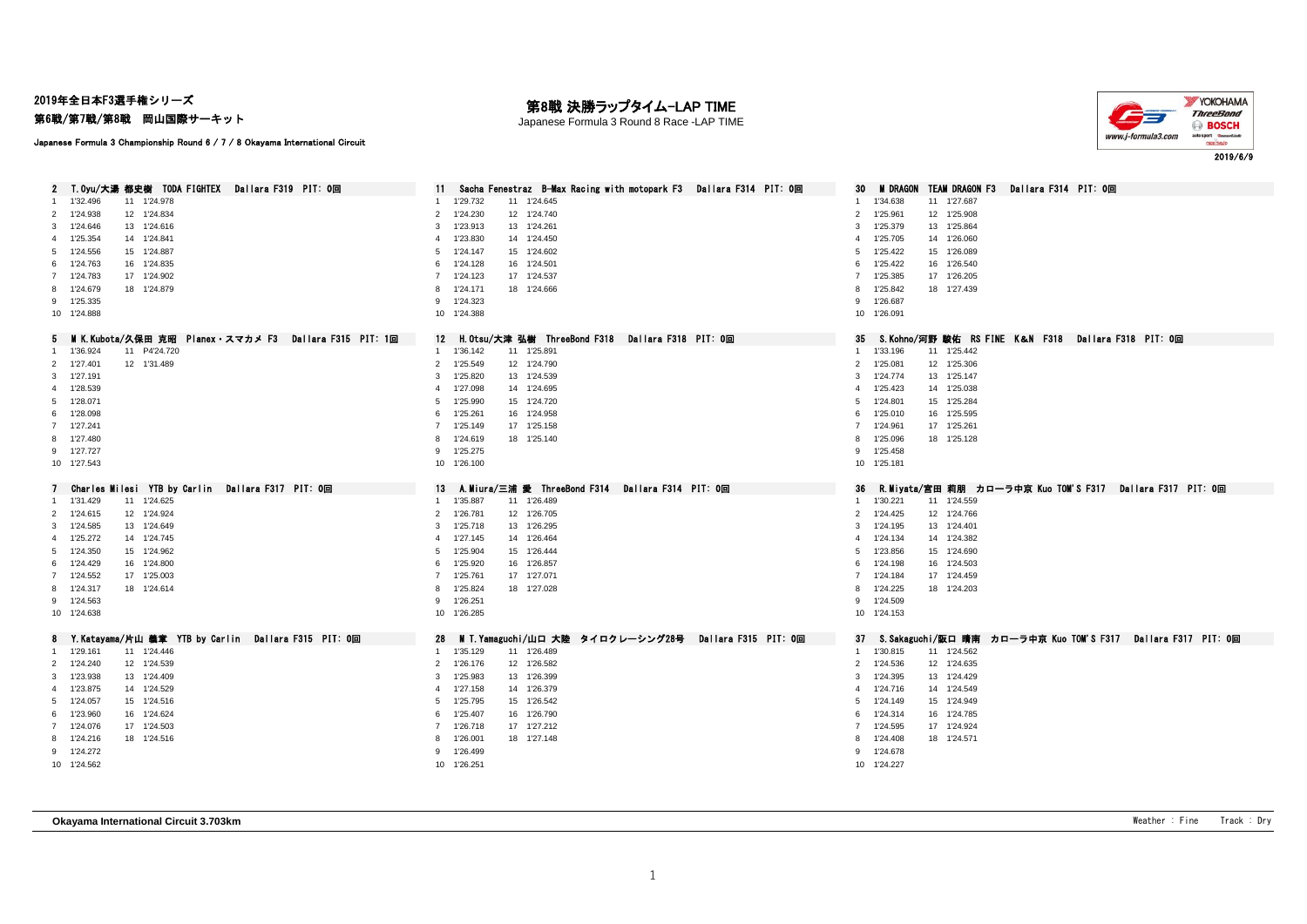2019年全日本F3選手権シリーズ

## 第6戦/第7戦/第8戦 岡山国際サーキット

## 第8戦 決勝ラップタイム-LAP TIME

Japanese Formula 3 Round 8 Race -LAP TIME



Japanese Formula 3 Championship Round 6 / 7 / 8 Okayama International Circuit

| 2 T.Oyu/大湯 都史樹 TODA FIGHTEX Dallara F319 PIT: 0回       | Sacha Fenestraz B-Max Racing with motopark F3 Dallara F314 PIT: 0回 | M DRAGON TEAM DRAGON F3 Dallara F314 PIT: 0回<br>30                    |
|--------------------------------------------------------|--------------------------------------------------------------------|-----------------------------------------------------------------------|
| 11 1'24.978<br>1'32.496                                | 11 1'24.645<br>1'29.732                                            | 11 1'27.687<br>1'34.638<br>1                                          |
| 2 1'24.938<br>12 1'24.834                              | $\overline{2}$<br>1'24.230<br>12 1'24.740                          | $\overline{2}$<br>1'25.961<br>12 1'25.908                             |
| 1'24.646<br>13 1'24.616<br>3                           | 1'23.913<br>13 1'24.261<br>3                                       | 3<br>1'25.379<br>13 1'25.864                                          |
| 4 1'25.354<br>14 1'24.841                              | 1'23.830<br>14 1'24.450<br>$\overline{4}$                          | 1'25.705<br>14 1'26.060<br>4                                          |
| 15 1'24.887<br>5 1'24.556                              | 1'24.147<br>15 1'24.602<br>5                                       | 1'25.422<br>15 1'26.089<br>5                                          |
| 6 1'24.763<br>16 1'24.835                              | 6 1'24.128<br>16 1'24.501                                          | 16 1'26.540<br>6<br>1'25.422                                          |
| 7 1'24.783<br>17 1'24.902                              | 7 1'24.123<br>17 1'24.537                                          | 1'25.385<br>17 1'26.205<br>$\overline{7}$                             |
| 8 1'24.679<br>18 1'24.879                              | 1'24.171<br>18 1'24.666<br>8                                       | 18 1'27.439<br>8<br>1'25.842                                          |
| 9 1'25.335                                             | 9 1'24.323                                                         | 9 1'26.687                                                            |
| 10 1'24.888                                            | 10 1'24.388                                                        | 10 1'26.091                                                           |
|                                                        |                                                                    |                                                                       |
| 5 MK.Kubota/久保田 克昭 Planex・スマカメ F3 Dallara F315 PIT: 1回 | H.Otsu/大津 弘樹 ThreeBond F318 Dallara F318 PIT: 0回<br>12             | S.Kohno/河野 駿佑 RS FINE K&N F318 Dallara F318 PIT: 0回<br>35             |
| 11 P4'24.720<br>1'36.924<br>$\mathbf{1}$               | 1 1'36.142<br>11 1'25.891                                          | 1 1'33.196<br>11 1'25.442                                             |
| 12 1'31.489<br>2 1'27.401                              | 2 1'25.549<br>12 1'24.790                                          | 12 1'25.306<br>$2^{\circ}$<br>1'25.081                                |
| 3 1'27.191                                             | 1'25.820<br>3<br>13 1'24.539                                       | 13 1'25.147<br>3<br>1'24.774                                          |
| 4 1'28.539                                             | 1'27.098<br>14 1'24.695<br>4                                       | 1'25.423<br>14 1'25.038<br>$\overline{4}$                             |
| 5 1'28.071                                             | 1'25.990<br>15 1'24.720<br>$5^{\circ}$                             | 15 1'25.284<br>5<br>1'24.801                                          |
| 6 1'28.098                                             | 1'25.261<br>16 1'24.958<br>6                                       | 1'25.010<br>16 1'25.595<br>6                                          |
| 7 1'27.241                                             | 1'25.149<br>17 1'25.158<br>$\overline{7}$                          | 17 1'25.261<br>$7^{\circ}$<br>1'24.961                                |
| 8 1'27.480                                             | 1'24.619<br>18 1'25.140<br>8                                       | 18 1'25.128<br>1'25.096<br>8                                          |
| 9 1'27.727                                             | 9 1'25.275                                                         | 9 1'25.458                                                            |
| 10 1'27.543                                            | 10 1'26.100                                                        | 10 1'25.181                                                           |
|                                                        |                                                                    |                                                                       |
|                                                        |                                                                    |                                                                       |
| Charles Milesi YTB by Carlin Dallara F317 PIT: 0回      | A.Miura/三浦 愛 ThreeBond F314 Dallara F314 PIT: 0回<br>13             | - R.Miyata/宮田 莉朋 カロ―ラ中京 Kuo TOM'S F317 - Dallara F317 - PIT: 0回<br>36 |
| 11 1'24.625<br>1'31.429<br>-1                          | 1'35.887<br>11 1'26.489<br>$\sim$                                  | 11 1'24.559<br>1 1'30.221                                             |
| 2 1'24.615<br>12 1'24.924                              | 2 1'26.781<br>12 1'26.705                                          | 2 1'24.425<br>12 1'24.766                                             |
| 3 1'24.585<br>13 1'24.649                              | 1'25.718<br>13 1'26.295<br>3                                       | 1'24.195<br>13 1'24.401<br>3                                          |
| 4 1'25.272<br>14 1'24.745                              | 1'27.145<br>14 1'26.464<br>$\overline{4}$                          | 14 1'24.382<br>1'24.134<br>4                                          |
| 15 1'24.962<br>5 1'24.350                              | 1'25.904<br>15 1'26.444<br>5                                       | 15 1'24.690<br>5<br>1'23.856                                          |
| 6 1'24.429<br>16 1'24.800                              | 1'25.920<br>16 1'26.857<br>6                                       | 16 1'24.503<br>1'24.198<br>6                                          |
| 7 1'24.552<br>17 1'25.003                              | 7 1'25.761<br>17 1'27.071                                          | 7 1'24.184<br>17 1'24.459                                             |
| 18 1'24.614<br>8 1'24.317                              | 1'25.824<br>18 1'27.028<br>8                                       | 8 1'24.225<br>18 1'24.203                                             |
| 9 1'24.563                                             | 9 1'26.251                                                         | 9 1'24.509                                                            |
| 10 1'24.638                                            | 10 1'26.285                                                        | 10 1'24.153                                                           |
|                                                        |                                                                    |                                                                       |
| 8 Y.Katayama/片山 義章 YTB by Carlin Dallara F315 PIT: 0回  | - M T.Yamaguchi/山口 大陸―タイロクレーシング28号― Dallara F315―PIT: 0回<br>28     | 37 S.Sakaguchi/阪口 晴南 カローラ中京 Kuo TOM'S F317 Dallara F317 PIT: 0回       |
| 1 1'29.161<br>11 1'24.446                              | 1 1'35.129<br>11 1'26.489                                          | 1 1'30.815<br>11 1'24.562                                             |
| 2 1'24.240<br>12 1'24.539                              | 2 1'26.176<br>12 1'26.582                                          | 2 1'24.536<br>12 1'24.635                                             |
| 13 1'24.409<br>3 1'23.938                              | 1'25.983<br>13 1'26.399<br>3                                       | 13 1'24.429<br>3<br>1'24.395                                          |
| 4 1'23.875<br>14 1'24.529                              | 4 1'27.158<br>14 1'26.379                                          | 1'24.716<br>14 1'24.549<br>$\overline{4}$                             |
| 5 1'24.057<br>15 1'24.516                              | 1'25.795<br>15 1'26.542<br>5                                       | 1'24.149<br>15 1'24.949<br>5                                          |
| 6 1'23.960<br>16 1'24.624                              | 6 1'25.407<br>16 1'26.790                                          | 6<br>1'24.314<br>16 1'24.785                                          |
| 7 1'24.076<br>17 1'24.503                              | 7 1'26.718<br>17 1'27.212                                          | 1'24.595<br>17 1'24.924<br>$\overline{7}$                             |
| 8 1'24.216<br>18 1'24.516                              | 1'26.001<br>18 1'27.148<br>8                                       | 1'24.408<br>18 1'24.571<br>8                                          |
| 9 1'24.272                                             | 1'26.499<br>9                                                      | 9 1'24.678                                                            |
| 10 1'24.562                                            | 10 1'26.251                                                        | 10 1'24.227                                                           |